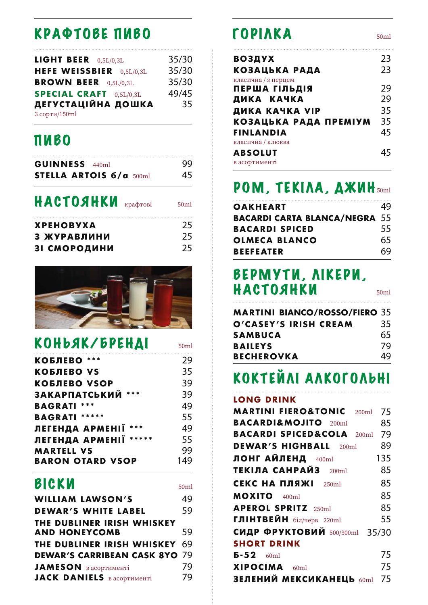## КРАФТОВЕ ПИВО

| <b>LIGHT BEER</b> $0,5L/0,3L$  | 35/30 |
|--------------------------------|-------|
| HEFE WEISSBIER 0,5L/0,3L       | 35/30 |
| <b>BROWN BEER</b> 0,5L/0,3L    | 35/30 |
| <b>SPECIAL CRAFT</b> 0,5L/0,3L | 49/45 |
| ДЕГУСТАЦІЙНА ДОШКА             | 35    |
| 3 сорти/150ml                  |       |

### ПИВО

| <b>GUINNESS</b> 440ml   | 99. |
|-------------------------|-----|
| STELLA ARTOIS 6/a 500ml | 45  |

### НАСТОЯНКИ крафтові 50ml

**55**

| <b>XPEHOBYXA</b>    | 25 |
|---------------------|----|
| З ЖУРАВЛИНИ         | 25 |
| <b>31 СМОРОДИНИ</b> | 25 |



### КОНЬЯК/БРЕНДІ

| <b>КОБЛЕВО ***</b>          | 29 |
|-----------------------------|----|
| <b>КОБЛЕВО VS</b>           | 35 |
| <b>КОБЛЕВО VSOP</b>         | 39 |
| ***<br><b>ЗАКАРПАТСЬКИЙ</b> | 39 |
| <b>BAGRATI ***</b>          | 49 |
| <b>BAGRATI ******</b>       | 55 |
| ЛЕГЕНДА АРМЕНІЇ             | 49 |

| ЛЕГЕНДА АРМЕНІЇ ***     | 49  |
|-------------------------|-----|
| ЛЕГЕНДА АРМЕНІЇ *****   | 55  |
| <b>MARTELL VS</b>       | 99  |
| <b>BARON OTARD VSOP</b> | 149 |

### **ВІСКИ** 50ml

| 49                                   |
|--------------------------------------|
| 59                                   |
| 59                                   |
| <b>THE DUBLINER IRISH WHISKEY 69</b> |
| <b>DEWAR'S CARRIBEAN CASK 8YO 79</b> |
| 79                                   |
| 79                                   |
|                                      |

## ГОРІЛКА

| <b>ВОЗДУХ</b>         | 23 |
|-----------------------|----|
| КОЗАЦЬКА РАДА         | 23 |
| класична / з перцем   |    |
| ПЕРША ГІЛЬДІЯ         | 29 |
| ДИКА КАЧКА            | 29 |
| ДИКА КАЧКА VIP        | 35 |
| КОЗАЦЬКА РАДА ПРЕМІУМ | 35 |
| <b>FINLANDIA</b>      | 45 |
| класична / клюква     |    |
| <b>ABSOLUT</b>        | 45 |
| в асортименті         |    |
|                       |    |

## РОМ, ТЕКІЛА, ДЖИН

| <b>OAKHEART</b>                      | 49 |
|--------------------------------------|----|
| <b>BACARDI CARTA BLANCA/NEGRA 55</b> |    |
| <b>BACARDI SPICED</b>                | 55 |
| <b>OLMECA BLANCO</b>                 | 65 |
| <b>BEEFEATER</b>                     | 69 |

### ВЕРМУТИ, ЛІКЕРИ, НАСТОЯНКИ

**MARTINI BIANCO/ROSSO/FIERO 35 SAMBUCA 65 O'CASEY'S IRISH CREAM 35 BECHEROVKA 49 BAILEYS 79**

## КОКТЕЙЛІ АЛКОГОЛЬНІ

#### **LONG DRINK**

| <b>MARTINI FIERO&amp;TONIC</b> 200ml | 75  |
|--------------------------------------|-----|
| <b>BACARDI&amp;MOJITO</b> 200ml      | 85  |
| <b>BACARDI SPICED&amp;COLA</b> 200ml | 79  |
| <b>DEWAR'S HIGHBALL</b> 200ml        | 89  |
| ЛОНГ АЙЛЕНД 400ml                    | 135 |
| ТЕКІЛА САНРАЙЗ $_{200\text{ml}}$     | 85  |
| <b>CEKC НА ПЛЯЖІ</b> 250ml           | 85  |
| <b>MOXITO</b> 400ml                  | 85  |
| <b>APEROL SPRITZ</b> 250ml           | 85  |
| ГЛІНТВЕЙН $6i\pi/\text{peps}$ 220ml  | 55  |
| СИДР ФРУКТОВИЙ 500/300ml 35/30       |     |
| <b>SHORT DRINK</b>                   |     |
| $\mathbf{5-52}$ 60ml                 | 75  |
| XIPOCIMA 60ml                        | 75  |
| ЗЕЛЕНИЙ МЕКСИКАНЕЦЬ 60ml 75          |     |